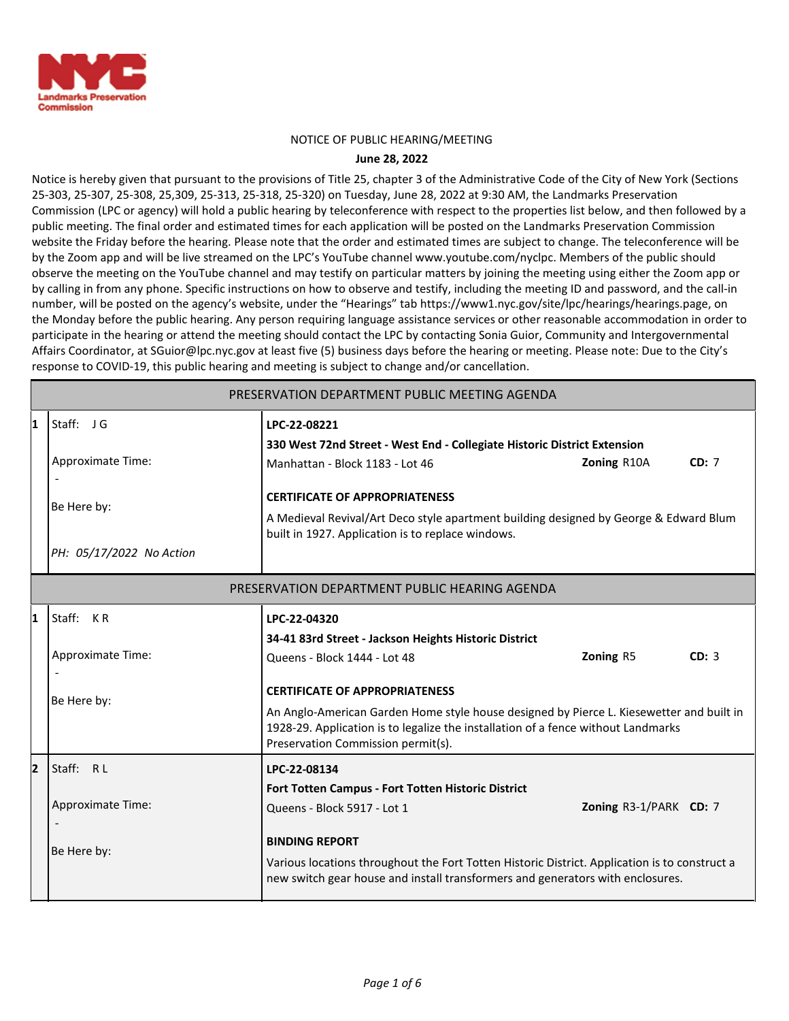

#### NOTICE OF PUBLIC HEARING/MEETING

#### **June 28, 2022**

Notice is hereby given that pursuant to the provisions of Title 25, chapter 3 of the Administrative Code of the City of New York (Sections 25-303, 25-307, 25-308, 25,309, 25-313, 25-318, 25-320) on Tuesday, June 28, 2022 at 9:30 AM, the Landmarks Preservation Commission (LPC or agency) will hold a public hearing by teleconference with respect to the properties list below, and then followed by a public meeting. The final order and estimated times for each application will be posted on the Landmarks Preservation Commission website the Friday before the hearing. Please note that the order and estimated times are subject to change. The teleconference will be by the Zoom app and will be live streamed on the LPC's YouTube channel www.youtube.com/nyclpc. Members of the public should observe the meeting on the YouTube channel and may testify on particular matters by joining the meeting using either the Zoom app or by calling in from any phone. Specific instructions on how to observe and testify, including the meeting ID and password, and the call-in number, will be posted on the agency's website, under the "Hearings" tab https://www1.nyc.gov/site/lpc/hearings/hearings.page, on the Monday before the public hearing. Any person requiring language assistance services or other reasonable accommodation in order to participate in the hearing or attend the meeting should contact the LPC by contacting Sonia Guior, Community and Intergovernmental Affairs Coordinator, at SGuior@lpc.nyc.gov at least five (5) business days before the hearing or meeting. Please note: Due to the City's response to COVID-19, this public hearing and meeting is subject to change and/or cancellation.

|                                               | PRESERVATION DEPARTMENT PUBLIC MEETING AGENDA |                                                                                                                                                                                                          |                                                                                                                                                                               |       |  |
|-----------------------------------------------|-----------------------------------------------|----------------------------------------------------------------------------------------------------------------------------------------------------------------------------------------------------------|-------------------------------------------------------------------------------------------------------------------------------------------------------------------------------|-------|--|
| 11                                            | Staff: JG                                     | LPC-22-08221                                                                                                                                                                                             |                                                                                                                                                                               |       |  |
|                                               | Approximate Time:                             | 330 West 72nd Street - West End - Collegiate Historic District Extension<br>Manhattan - Block 1183 - Lot 46                                                                                              | Zoning R10A                                                                                                                                                                   | CD: 7 |  |
|                                               | Be Here by:                                   | <b>CERTIFICATE OF APPROPRIATENESS</b><br>A Medieval Revival/Art Deco style apartment building designed by George & Edward Blum<br>built in 1927. Application is to replace windows.                      |                                                                                                                                                                               |       |  |
|                                               | PH: 05/17/2022 No Action                      |                                                                                                                                                                                                          |                                                                                                                                                                               |       |  |
| PRESERVATION DEPARTMENT PUBLIC HEARING AGENDA |                                               |                                                                                                                                                                                                          |                                                                                                                                                                               |       |  |
| 11                                            | Staff: KR                                     | LPC-22-04320                                                                                                                                                                                             |                                                                                                                                                                               |       |  |
|                                               |                                               | 34-41 83rd Street - Jackson Heights Historic District                                                                                                                                                    |                                                                                                                                                                               |       |  |
|                                               | Approximate Time:                             | Queens - Block 1444 - Lot 48                                                                                                                                                                             | Zoning R5                                                                                                                                                                     | CD: 3 |  |
|                                               |                                               | <b>CERTIFICATE OF APPROPRIATENESS</b>                                                                                                                                                                    |                                                                                                                                                                               |       |  |
| Be Here by:                                   |                                               | Preservation Commission permit(s).                                                                                                                                                                       | An Anglo-American Garden Home style house designed by Pierce L. Kiesewetter and built in<br>1928-29. Application is to legalize the installation of a fence without Landmarks |       |  |
| 12                                            | Staff: RL                                     | LPC-22-08134<br>Fort Totten Campus - Fort Totten Historic District                                                                                                                                       |                                                                                                                                                                               |       |  |
|                                               |                                               |                                                                                                                                                                                                          |                                                                                                                                                                               |       |  |
|                                               | Approximate Time:                             | Queens - Block 5917 - Lot 1                                                                                                                                                                              | Zoning R3-1/PARK CD: 7                                                                                                                                                        |       |  |
|                                               | Be Here by:                                   | <b>BINDING REPORT</b><br>Various locations throughout the Fort Totten Historic District. Application is to construct a<br>new switch gear house and install transformers and generators with enclosures. |                                                                                                                                                                               |       |  |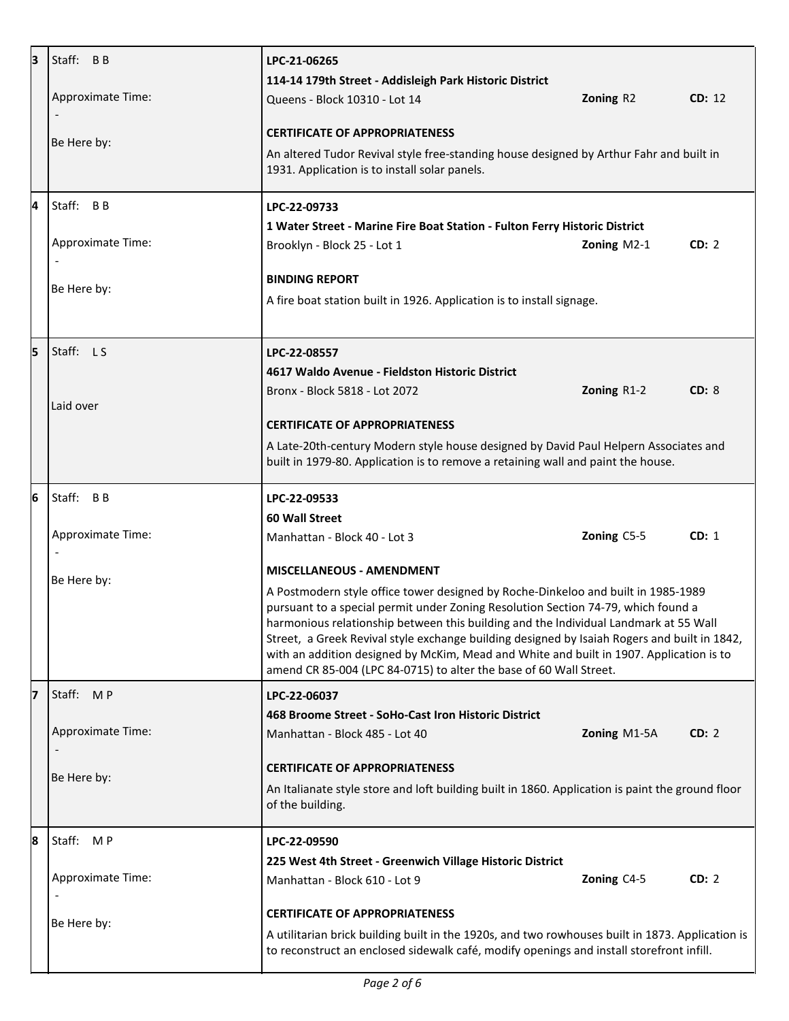| 3 | Staff: BB                | LPC-21-06265                                                                                                                                                                         |              |        |  |
|---|--------------------------|--------------------------------------------------------------------------------------------------------------------------------------------------------------------------------------|--------------|--------|--|
|   |                          | 114-14 179th Street - Addisleigh Park Historic District                                                                                                                              |              |        |  |
|   | <b>Approximate Time:</b> | Queens - Block 10310 - Lot 14                                                                                                                                                        | Zoning R2    | CD: 12 |  |
|   |                          | <b>CERTIFICATE OF APPROPRIATENESS</b>                                                                                                                                                |              |        |  |
|   | Be Here by:              | An altered Tudor Revival style free-standing house designed by Arthur Fahr and built in                                                                                              |              |        |  |
|   |                          | 1931. Application is to install solar panels.                                                                                                                                        |              |        |  |
| 4 | Staff: BB                | LPC-22-09733                                                                                                                                                                         |              |        |  |
|   |                          | 1 Water Street - Marine Fire Boat Station - Fulton Ferry Historic District                                                                                                           |              |        |  |
|   | Approximate Time:        | Brooklyn - Block 25 - Lot 1                                                                                                                                                          | Zoning M2-1  | CD: 2  |  |
|   |                          | <b>BINDING REPORT</b>                                                                                                                                                                |              |        |  |
|   | Be Here by:              | A fire boat station built in 1926. Application is to install signage.                                                                                                                |              |        |  |
|   |                          |                                                                                                                                                                                      |              |        |  |
| 5 | Staff: LS                | LPC-22-08557                                                                                                                                                                         |              |        |  |
|   |                          | 4617 Waldo Avenue - Fieldston Historic District                                                                                                                                      |              |        |  |
|   |                          | Bronx - Block 5818 - Lot 2072                                                                                                                                                        | Zoning R1-2  | CD: 8  |  |
|   | Laid over                |                                                                                                                                                                                      |              |        |  |
|   |                          | <b>CERTIFICATE OF APPROPRIATENESS</b>                                                                                                                                                |              |        |  |
|   |                          | A Late-20th-century Modern style house designed by David Paul Helpern Associates and<br>built in 1979-80. Application is to remove a retaining wall and paint the house.             |              |        |  |
| 6 | Staff: BB                | LPC-22-09533                                                                                                                                                                         |              |        |  |
|   |                          | 60 Wall Street                                                                                                                                                                       |              |        |  |
|   | Approximate Time:        | Manhattan - Block 40 - Lot 3                                                                                                                                                         | Zoning C5-5  | CD: 1  |  |
|   |                          | <b>MISCELLANEOUS - AMENDMENT</b>                                                                                                                                                     |              |        |  |
|   | Be Here by:              | A Postmodern style office tower designed by Roche-Dinkeloo and built in 1985-1989<br>pursuant to a special permit under Zoning Resolution Section 74-79, which found a               |              |        |  |
|   |                          |                                                                                                                                                                                      |              |        |  |
|   |                          | harmonious relationship between this building and the Individual Landmark at 55 Wall<br>Street, a Greek Revival style exchange building designed by Isaiah Rogers and built in 1842, |              |        |  |
|   |                          | with an addition designed by McKim, Mead and White and built in 1907. Application is to<br>amend CR 85-004 (LPC 84-0715) to alter the base of 60 Wall Street.                        |              |        |  |
| 7 | Staff: MP                | LPC-22-06037                                                                                                                                                                         |              |        |  |
|   |                          | 468 Broome Street - SoHo-Cast Iron Historic District                                                                                                                                 |              |        |  |
|   | Approximate Time:        | Manhattan - Block 485 - Lot 40                                                                                                                                                       | Zoning M1-5A | CD: 2  |  |
|   |                          | <b>CERTIFICATE OF APPROPRIATENESS</b>                                                                                                                                                |              |        |  |
|   | Be Here by:              | An Italianate style store and loft building built in 1860. Application is paint the ground floor                                                                                     |              |        |  |
|   |                          | of the building.                                                                                                                                                                     |              |        |  |
| 8 | Staff: MP                | LPC-22-09590                                                                                                                                                                         |              |        |  |
|   |                          | 225 West 4th Street - Greenwich Village Historic District                                                                                                                            |              |        |  |
|   | Approximate Time:        | Manhattan - Block 610 - Lot 9                                                                                                                                                        | Zoning C4-5  | CD: 2  |  |
|   |                          | <b>CERTIFICATE OF APPROPRIATENESS</b>                                                                                                                                                |              |        |  |
|   | Be Here by:              | A utilitarian brick building built in the 1920s, and two rowhouses built in 1873. Application is                                                                                     |              |        |  |
|   |                          | to reconstruct an enclosed sidewalk café, modify openings and install storefront infill.                                                                                             |              |        |  |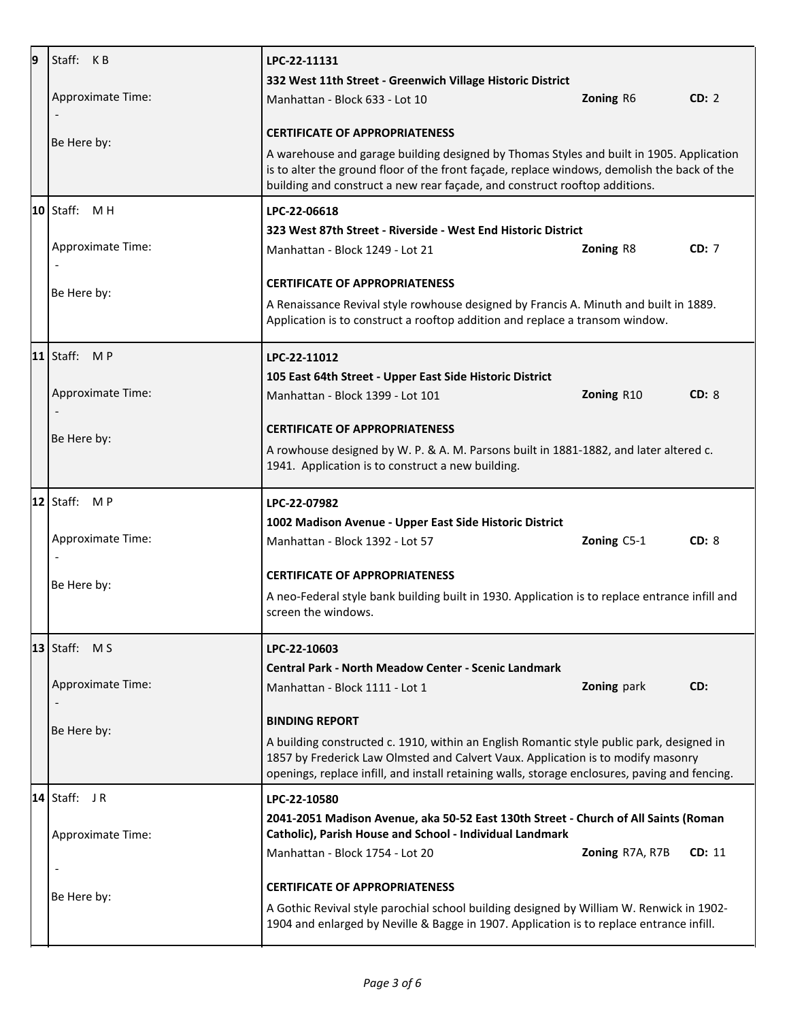| 9 | Staff: KB                                                                                                                                                                                           | LPC-22-11131                                                                                                                                                                                                                                                                    |                  |        |  |
|---|-----------------------------------------------------------------------------------------------------------------------------------------------------------------------------------------------------|---------------------------------------------------------------------------------------------------------------------------------------------------------------------------------------------------------------------------------------------------------------------------------|------------------|--------|--|
|   |                                                                                                                                                                                                     | 332 West 11th Street - Greenwich Village Historic District                                                                                                                                                                                                                      |                  |        |  |
|   | Approximate Time:<br>$\overline{\phantom{a}}$                                                                                                                                                       | Manhattan - Block 633 - Lot 10                                                                                                                                                                                                                                                  | Zoning R6        | CD: 2  |  |
|   | Be Here by:                                                                                                                                                                                         | <b>CERTIFICATE OF APPROPRIATENESS</b>                                                                                                                                                                                                                                           |                  |        |  |
|   |                                                                                                                                                                                                     | A warehouse and garage building designed by Thomas Styles and built in 1905. Application<br>is to alter the ground floor of the front façade, replace windows, demolish the back of the<br>building and construct a new rear façade, and construct rooftop additions.           |                  |        |  |
|   | $10$ Staff: MH                                                                                                                                                                                      | LPC-22-06618                                                                                                                                                                                                                                                                    |                  |        |  |
|   |                                                                                                                                                                                                     | 323 West 87th Street - Riverside - West End Historic District                                                                                                                                                                                                                   |                  |        |  |
|   | <b>Approximate Time:</b>                                                                                                                                                                            | Manhattan - Block 1249 - Lot 21                                                                                                                                                                                                                                                 | <b>Zoning R8</b> | CD: 7  |  |
|   | Be Here by:                                                                                                                                                                                         | <b>CERTIFICATE OF APPROPRIATENESS</b>                                                                                                                                                                                                                                           |                  |        |  |
|   |                                                                                                                                                                                                     | A Renaissance Revival style rowhouse designed by Francis A. Minuth and built in 1889.<br>Application is to construct a rooftop addition and replace a transom window.                                                                                                           |                  |        |  |
|   | 11   Staff: $MP$                                                                                                                                                                                    | LPC-22-11012                                                                                                                                                                                                                                                                    |                  |        |  |
|   |                                                                                                                                                                                                     | 105 East 64th Street - Upper East Side Historic District                                                                                                                                                                                                                        |                  |        |  |
|   | Approximate Time:                                                                                                                                                                                   | Manhattan - Block 1399 - Lot 101                                                                                                                                                                                                                                                | Zoning R10       | CD: 8  |  |
|   | Be Here by:                                                                                                                                                                                         | <b>CERTIFICATE OF APPROPRIATENESS</b>                                                                                                                                                                                                                                           |                  |        |  |
|   | A rowhouse designed by W. P. & A. M. Parsons built in 1881-1882, and later altered c.<br>1941. Application is to construct a new building.                                                          |                                                                                                                                                                                                                                                                                 |                  |        |  |
|   | $ 12 $ Staff: M P                                                                                                                                                                                   | LPC-22-07982                                                                                                                                                                                                                                                                    |                  |        |  |
|   |                                                                                                                                                                                                     | 1002 Madison Avenue - Upper East Side Historic District                                                                                                                                                                                                                         |                  |        |  |
|   | Approximate Time:                                                                                                                                                                                   | Manhattan - Block 1392 - Lot 57                                                                                                                                                                                                                                                 | Zoning C5-1      | CD: 8  |  |
|   | Be Here by:                                                                                                                                                                                         | <b>CERTIFICATE OF APPROPRIATENESS</b>                                                                                                                                                                                                                                           |                  |        |  |
|   |                                                                                                                                                                                                     | A neo-Federal style bank building built in 1930. Application is to replace entrance infill and<br>screen the windows.                                                                                                                                                           |                  |        |  |
|   | $13$ Staff: MS                                                                                                                                                                                      | LPC-22-10603                                                                                                                                                                                                                                                                    |                  |        |  |
|   |                                                                                                                                                                                                     | <b>Central Park - North Meadow Center - Scenic Landmark</b>                                                                                                                                                                                                                     |                  |        |  |
|   | Approximate Time:                                                                                                                                                                                   | Manhattan - Block 1111 - Lot 1                                                                                                                                                                                                                                                  | Zoning park      | CD:    |  |
|   | Be Here by:                                                                                                                                                                                         | <b>BINDING REPORT</b>                                                                                                                                                                                                                                                           |                  |        |  |
|   |                                                                                                                                                                                                     | A building constructed c. 1910, within an English Romantic style public park, designed in<br>1857 by Frederick Law Olmsted and Calvert Vaux. Application is to modify masonry<br>openings, replace infill, and install retaining walls, storage enclosures, paving and fencing. |                  |        |  |
|   | $ 14 $ Staff: JR                                                                                                                                                                                    | LPC-22-10580                                                                                                                                                                                                                                                                    |                  |        |  |
|   | <b>Approximate Time:</b>                                                                                                                                                                            | 2041-2051 Madison Avenue, aka 50-52 East 130th Street - Church of All Saints (Roman<br>Catholic), Parish House and School - Individual Landmark                                                                                                                                 |                  |        |  |
|   |                                                                                                                                                                                                     | Manhattan - Block 1754 - Lot 20                                                                                                                                                                                                                                                 | Zoning R7A, R7B  | CD: 11 |  |
|   | $\overline{\phantom{a}}$                                                                                                                                                                            | <b>CERTIFICATE OF APPROPRIATENESS</b>                                                                                                                                                                                                                                           |                  |        |  |
|   | Be Here by:<br>A Gothic Revival style parochial school building designed by William W. Renwick in 1902-<br>1904 and enlarged by Neville & Bagge in 1907. Application is to replace entrance infill. |                                                                                                                                                                                                                                                                                 |                  |        |  |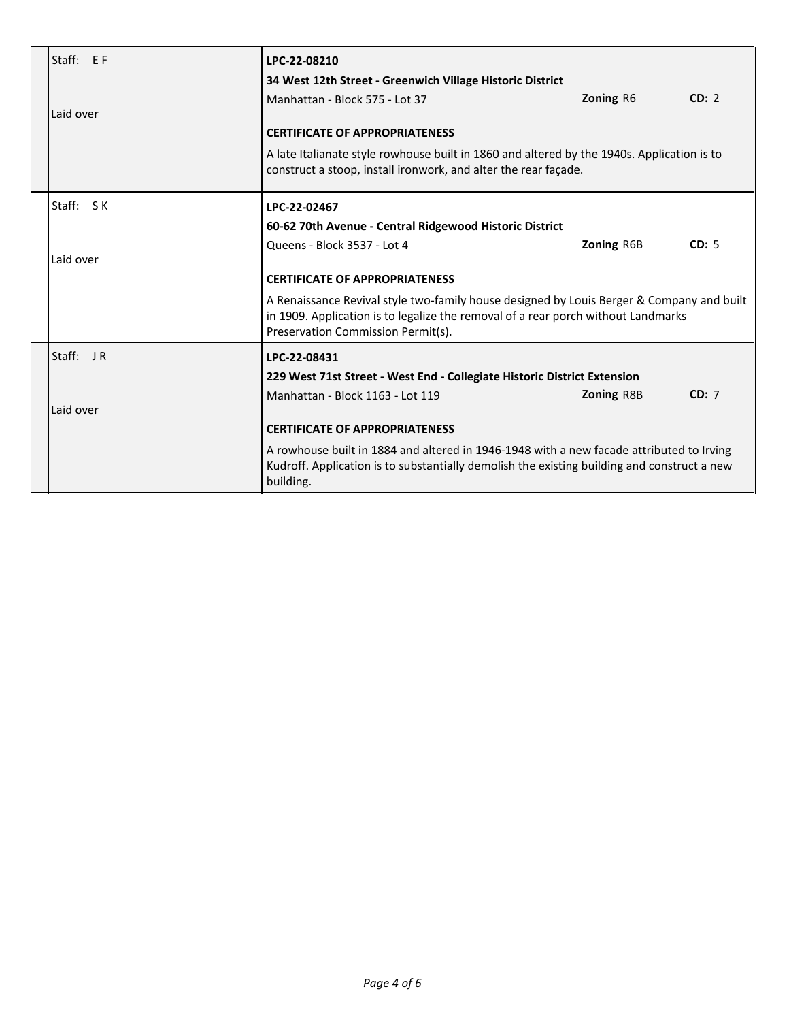| Staff: EF<br>Laid over | LPC-22-08210<br>34 West 12th Street - Greenwich Village Historic District<br>Manhattan - Block 575 - Lot 37<br><b>CERTIFICATE OF APPROPRIATENESS</b><br>A late Italianate style rowhouse built in 1860 and altered by the 1940s. Application is to<br>construct a stoop, install ironwork, and alter the rear façade.                                                         | <b>Zoning R6</b>  | CD: 2 |
|------------------------|-------------------------------------------------------------------------------------------------------------------------------------------------------------------------------------------------------------------------------------------------------------------------------------------------------------------------------------------------------------------------------|-------------------|-------|
| Staff: SK<br>Laid over | LPC-22-02467<br>60-62 70th Avenue - Central Ridgewood Historic District<br>Queens - Block 3537 - Lot 4<br><b>CERTIFICATE OF APPROPRIATENESS</b><br>A Renaissance Revival style two-family house designed by Louis Berger & Company and built<br>in 1909. Application is to legalize the removal of a rear porch without Landmarks<br>Preservation Commission Permit(s).       | <b>Zoning R6B</b> | CD: 5 |
| Staff: JR<br>Laid over | LPC-22-08431<br>229 West 71st Street - West End - Collegiate Historic District Extension<br>Manhattan - Block 1163 - Lot 119<br><b>CERTIFICATE OF APPROPRIATENESS</b><br>A rowhouse built in 1884 and altered in 1946-1948 with a new facade attributed to Irving<br>Kudroff. Application is to substantially demolish the existing building and construct a new<br>building. | <b>Zoning R8B</b> | CD: 7 |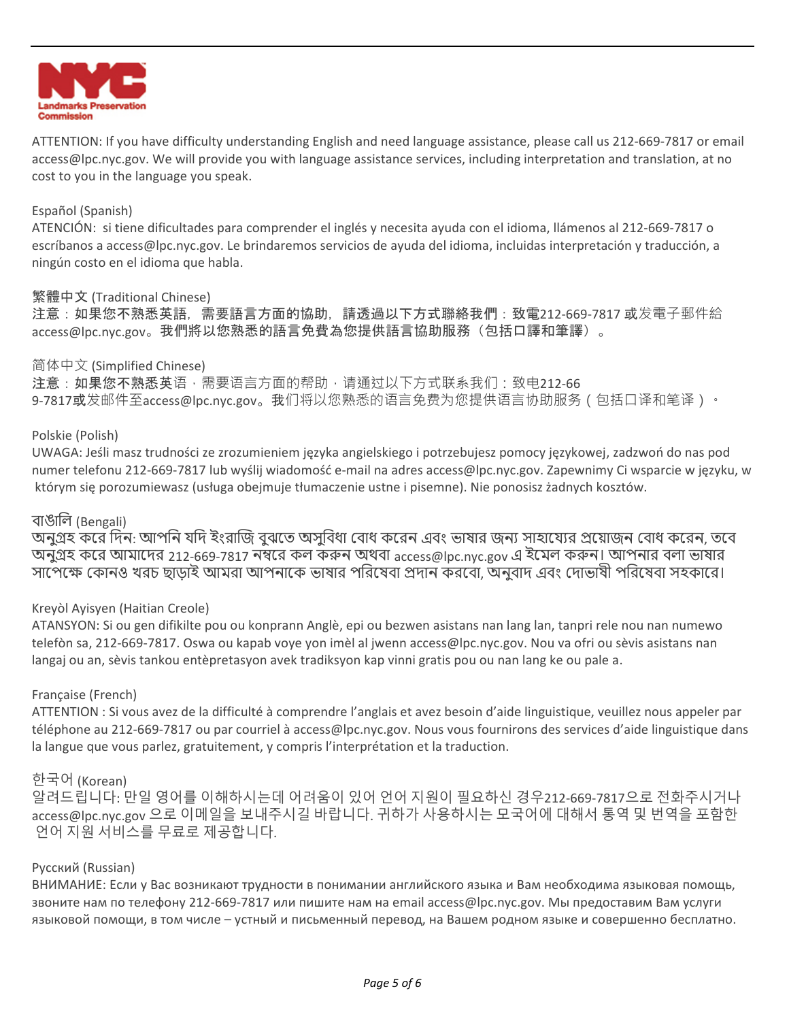

ATTENTION: If you have difficulty understanding English and need language assistance, please call us 212-669-7817 or email access@lpc.nyc.gov. We will provide you with language assistance services, including interpretation and translation, at no cost to you in the language you speak.

## Español (Spanish)

ATENCIÓN: si tiene dificultades para comprender el inglés y necesita ayuda con el idioma, llámenos al 212-669-7817 o escríbanos a access@lpc.nyc.gov. Le brindaremos servicios de ayuda del idioma, incluidas interpretación y traducción, a ningún costo en el idioma que habla.

#### 繁體中文 (Traditional Chinese)

注意:如果您不熟悉英語,需要語言方面的協助,請透過以下方式聯絡我們:致電212-669-7817 或发電子郵件給 access@lpc.nyc.gov。我們將以您熟悉的語言免費為您提供語言協助服務(包括口譯和筆譯)。

#### 简体中文 (Simplified Chinese)

注意:如果您不熟悉英语,需要语言方面的帮助,请通过以下方式联系我们:致电212-66 9-7817或发邮件至access@lpc.nyc.gov。我们将以您熟悉的语言免费为您提供语言协助服务(包括口译和笔译)。

#### Polskie (Polish)

UWAGA: Jeśli masz trudności ze zrozumieniem języka angielskiego i potrzebujesz pomocy językowej, zadzwoń do nas pod numer telefonu 212-669-7817 lub wyślij wiadomość e-mail na adres access@lpc.nyc.gov. Zapewnimy Ci wsparcie w języku, w którym się porozumiewasz (usługa obejmuje tłumaczenie ustne i pisemne). Nie ponosisz żadnych kosztów.

# বাঙালি (Bengali)

অনুগ্রহ করে দিন: আপনি যদি ইংরাজি বুঝতে অসুবিধা বোধ করেন এবং ভাষার জন্য সাহায্যের প্রয়োজন বোধ করেন, তবে অনুগ্রহ করে আমাদের 212-669-7817 নম্বরে কল করুন অথবা access@lpc.nyc.gov এ ইমেল করুন। আপনার বলা ভাষার সাপেক্ষে কোনও খরচ ছাড়াই আমরা আপনাকে ভাষার পরিষেবা প্রদান করবো, অনুবাদ এবং দোভাষী পরিষেবা সহকারে।

## Kreyòl Ayisyen (Haitian Creole)

ATANSYON: Si ou gen difikilte pou ou konprann Anglè, epi ou bezwen asistans nan lang lan, tanpri rele nou nan numewo telefòn sa, 212-669-7817. Oswa ou kapab voye yon imèl al jwenn access@lpc.nyc.gov. Nou va ofri ou sèvis asistans nan langaj ou an, sèvis tankou entèpretasyon avek tradiksyon kap vinni gratis pou ou nan lang ke ou pale a.

## Française (French)

ATTENTION : Si vous avez de la difficulté à comprendre l'anglais et avez besoin d'aide linguistique, veuillez nous appeler par téléphone au 212-669-7817 ou par courriel à access@lpc.nyc.gov. Nous vous fournirons des services d'aide linguistique dans la langue que vous parlez, gratuitement, y compris l'interprétation et la traduction.

## 한국어 (Korean)

알려드립니다: 만일 영어를 이해하시는데 어려움이 있어 언어 지원이 필요하신 경우212-669-7817으로 전화주시거나 access@lpc.nyc.gov 으로 이메일을 보내주시길 바랍니다. 귀하가 사용하시는 모국어에 대해서 통역 및 번역을 포함한 언어 지원 서비스를 무료로 제공합니다.

## Русский (Russian)

ВНИМАНИЕ: Если у Вас возникают трудности в понимании английского языка и Вам необходима языковая помощь, звоните нам по телефону 212-669-7817 или пишите нам на email access@lpc.nyc.gov. Мы предоставим Вам услуги языковой помощи, в том числе – устный и письменный перевод, на Вашем родном языке и совершенно бесплатно.